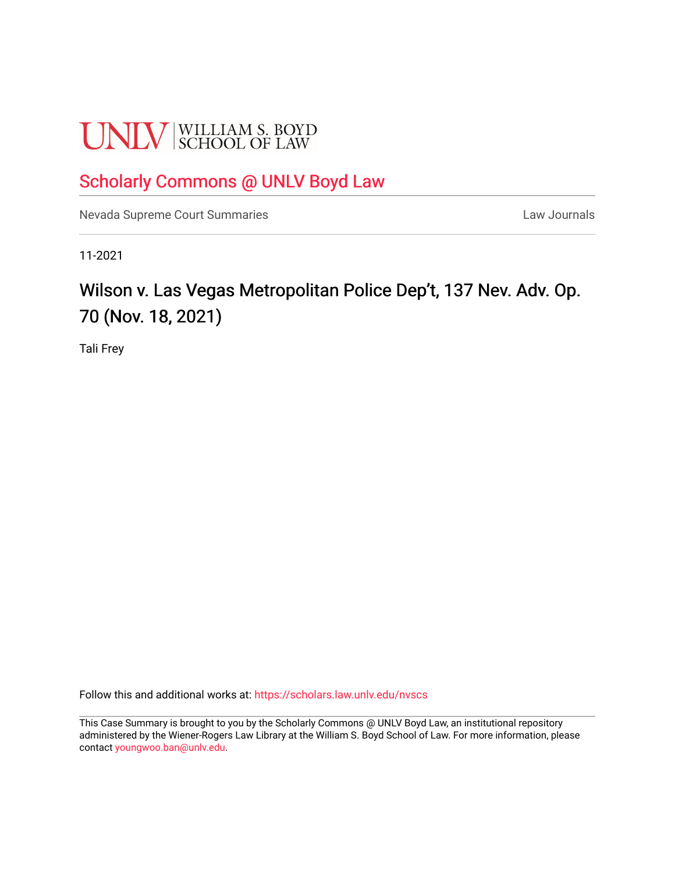# **UNLV** SCHOOL OF LAW

### [Scholarly Commons @ UNLV Boyd Law](https://scholars.law.unlv.edu/)

[Nevada Supreme Court Summaries](https://scholars.law.unlv.edu/nvscs) **Law Journals** Law Journals

11-2021

## Wilson v. Las Vegas Metropolitan Police Dep't, 137 Nev. Adv. Op. 70 (Nov. 18, 2021)

Tali Frey

Follow this and additional works at: [https://scholars.law.unlv.edu/nvscs](https://scholars.law.unlv.edu/nvscs?utm_source=scholars.law.unlv.edu%2Fnvscs%2F1457&utm_medium=PDF&utm_campaign=PDFCoverPages)

This Case Summary is brought to you by the Scholarly Commons @ UNLV Boyd Law, an institutional repository administered by the Wiener-Rogers Law Library at the William S. Boyd School of Law. For more information, please contact [youngwoo.ban@unlv.edu](mailto:youngwoo.ban@unlv.edu).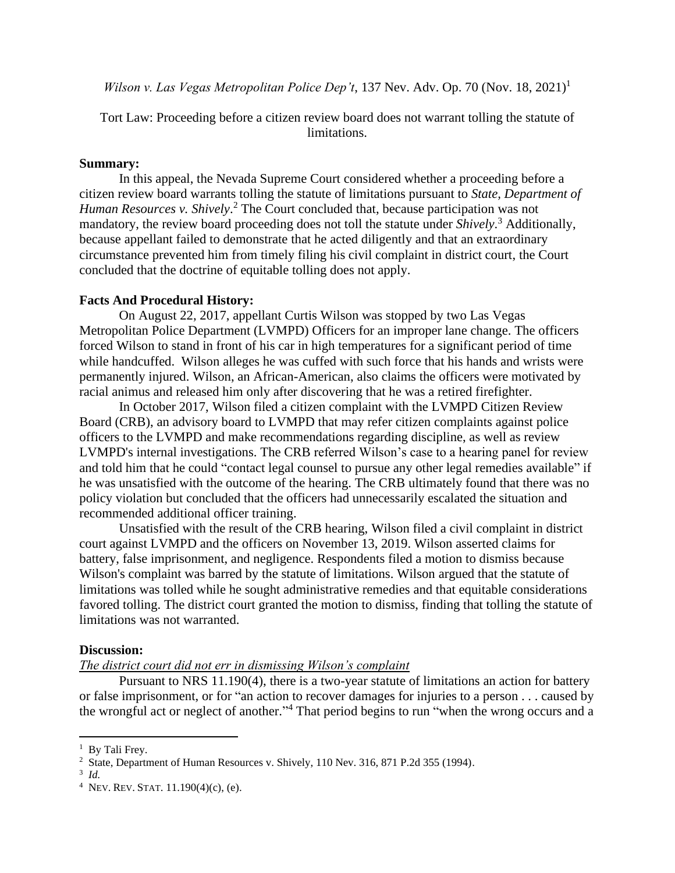*Wilson v. Las Vegas Metropolitan Police Dep't*, 137 Nev. Adv. Op. 70 (Nov. 18, 2021)<sup>1</sup>

Tort Law: Proceeding before a citizen review board does not warrant tolling the statute of limitations.

#### **Summary:**

In this appeal, the Nevada Supreme Court considered whether a proceeding before a citizen review board warrants tolling the statute of limitations pursuant to *State, Department of Human Resources v. Shively*. <sup>2</sup> The Court concluded that, because participation was not mandatory, the review board proceeding does not toll the statute under *Shively*. <sup>3</sup> Additionally, because appellant failed to demonstrate that he acted diligently and that an extraordinary circumstance prevented him from timely filing his civil complaint in district court, the Court concluded that the doctrine of equitable tolling does not apply.

#### **Facts And Procedural History:**

On August 22, 2017, appellant Curtis Wilson was stopped by two Las Vegas Metropolitan Police Department (LVMPD) Officers for an improper lane change. The officers forced Wilson to stand in front of his car in high temperatures for a significant period of time while handcuffed. Wilson alleges he was cuffed with such force that his hands and wrists were permanently injured. Wilson, an African-American, also claims the officers were motivated by racial animus and released him only after discovering that he was a retired firefighter.

In October 2017, Wilson filed a citizen complaint with the LVMPD Citizen Review Board (CRB), an advisory board to LVMPD that may refer citizen complaints against police officers to the LVMPD and make recommendations regarding discipline, as well as review LVMPD's internal investigations. The CRB referred Wilson's case to a hearing panel for review and told him that he could "contact legal counsel to pursue any other legal remedies available" if he was unsatisfied with the outcome of the hearing. The CRB ultimately found that there was no policy violation but concluded that the officers had unnecessarily escalated the situation and recommended additional officer training.

Unsatisfied with the result of the CRB hearing, Wilson filed a civil complaint in district court against LVMPD and the officers on November 13, 2019. Wilson asserted claims for battery, false imprisonment, and negligence. Respondents filed a motion to dismiss because Wilson's complaint was barred by the statute of limitations. Wilson argued that the statute of limitations was tolled while he sought administrative remedies and that equitable considerations favored tolling. The district court granted the motion to dismiss, finding that tolling the statute of limitations was not warranted.

#### **Discussion:**

#### *The district court did not err in dismissing Wilson's complaint*

Pursuant to NRS 11.190(4), there is a two-year statute of limitations an action for battery or false imprisonment, or for "an action to recover damages for injuries to a person . . . caused by the wrongful act or neglect of another." <sup>4</sup> That period begins to run "when the wrong occurs and a

<sup>&</sup>lt;sup>1</sup> By Tali Frey.

<sup>&</sup>lt;sup>2</sup> State, Department of Human Resources v. Shively, 110 Nev. 316, 871 P.2d 355 (1994).

<sup>3</sup> *Id.*

<sup>&</sup>lt;sup>4</sup> Nev. Rev. Stat. 11.190(4)(c), (e).